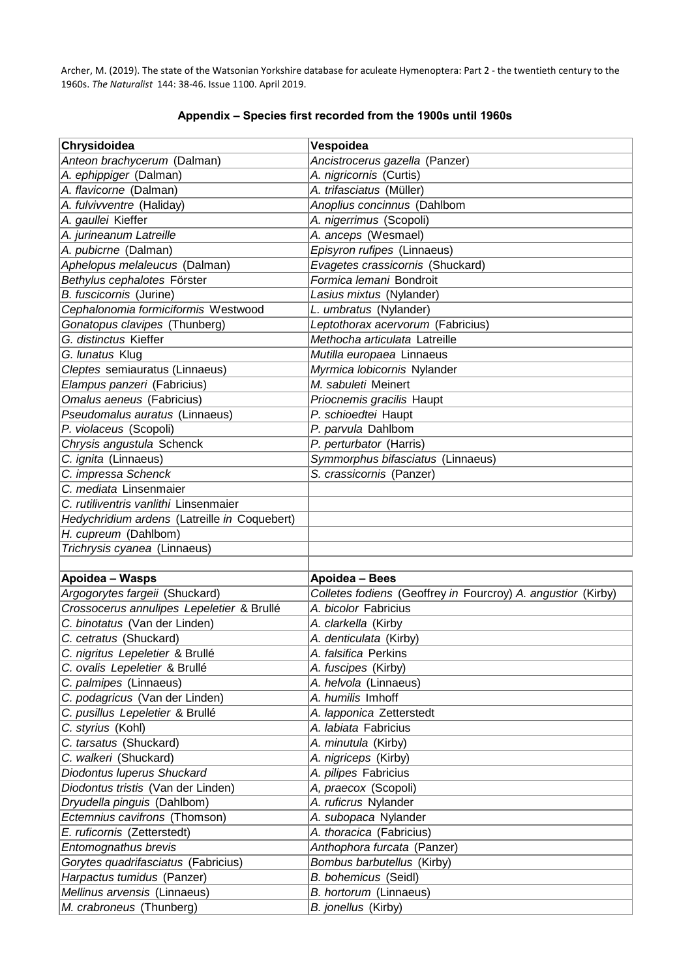Archer, M. (2019). The state of the Watsonian Yorkshire database for aculeate Hymenoptera: Part 2 - the twentieth century to the 1960s. *The Naturalist* 144: 38-46. Issue 1100. April 2019.

| Chrysidoidea                                                      | Vespoidea                                                    |
|-------------------------------------------------------------------|--------------------------------------------------------------|
| Anteon brachycerum (Dalman)                                       | Ancistrocerus gazella (Panzer)                               |
| A. ephippiger (Dalman)                                            | A. nigricornis (Curtis)                                      |
| A. flavicorne (Dalman)                                            | A. trifasciatus (Müller)                                     |
| A. fulvivventre (Haliday)                                         | Anoplius concinnus (Dahlbom                                  |
| A. gaullei Kieffer                                                | A. nigerrimus (Scopoli)                                      |
| A. jurineanum Latreille                                           | A. anceps (Wesmael)                                          |
| A. pubicrne (Dalman)                                              | Episyron rufipes (Linnaeus)                                  |
| Aphelopus melaleucus (Dalman)                                     | Evagetes crassicornis (Shuckard)                             |
| Bethylus cephalotes Förster                                       | Formica lemani Bondroit                                      |
| B. fuscicornis (Jurine)                                           | Lasius mixtus (Nylander)                                     |
| Cephalonomia formiciformis Westwood                               | L. umbratus (Nylander)                                       |
| Gonatopus clavipes (Thunberg)                                     | Leptothorax acervorum (Fabricius)                            |
| G. distinctus Kieffer                                             | Methocha articulata Latreille                                |
| G. lunatus Klug                                                   | Mutilla europaea Linnaeus                                    |
| Cleptes semiauratus (Linnaeus)                                    | Myrmica lobicornis Nylander                                  |
| Elampus panzeri (Fabricius)                                       | M. sabuleti Meinert                                          |
| Omalus aeneus (Fabricius)                                         | Priocnemis gracilis Haupt                                    |
| Pseudomalus auratus (Linnaeus)                                    | P. schioedtei Haupt                                          |
| P. violaceus (Scopoli)                                            | P. parvula Dahlbom                                           |
| Chrysis angustula Schenck                                         | P. perturbator (Harris)                                      |
| C. ignita (Linnaeus)                                              | Symmorphus bifasciatus (Linnaeus)                            |
| C. impressa Schenck                                               | S. crassicornis (Panzer)                                     |
| C. mediata Linsenmaier                                            |                                                              |
| C. rutiliventris vanlithi Linsenmaier                             |                                                              |
| Hedychridium ardens (Latreille in Coquebert)                      |                                                              |
| H. cupreum (Dahlbom)                                              |                                                              |
| Trichrysis cyanea (Linnaeus)                                      |                                                              |
|                                                                   |                                                              |
| Apoidea - Wasps                                                   | Apoidea - Bees                                               |
| Argogorytes fargeii (Shuckard)                                    | Colletes fodiens (Geoffrey in Fourcroy) A. angustior (Kirby) |
| Crossocerus annulipes Lepeletier & Brullé                         | A. bicolor Fabricius                                         |
| C. binotatus (Van der Linden)                                     |                                                              |
|                                                                   | A. clarkella (Kirby                                          |
| C. cetratus (Shuckard)                                            | A. denticulata (Kirby)                                       |
| C. nigritus Lepeletier & Brullé                                   | A. falsifica Perkins                                         |
| C. ovalis Lepeletier & Brullé                                     | A. fuscipes (Kirby)                                          |
| C. palmipes (Linnaeus)                                            | A. helvola (Linnaeus)                                        |
| C. podagricus (Van der Linden)                                    | A. humilis Imhoff                                            |
| C. pusillus Lepeletier & Brullé                                   | A. lapponica Zetterstedt                                     |
| C. styrius (Kohl)                                                 | A. labiata Fabricius                                         |
| C. tarsatus (Shuckard)                                            | A. minutula (Kirby)                                          |
| C. walkeri (Shuckard)                                             | A. nigriceps (Kirby)                                         |
| Diodontus luperus Shuckard                                        | A. pilipes Fabricius                                         |
| Diodontus tristis (Van der Linden)                                | A, praecox (Scopoli)                                         |
|                                                                   | A. ruficrus Nylander                                         |
| Dryudella pinguis (Dahlbom)<br>Ectemnius cavifrons (Thomson)      | A. subopaca Nylander                                         |
| E. ruficornis (Zetterstedt)                                       | A. thoracica (Fabricius)                                     |
| Entomognathus brevis                                              | Anthophora furcata (Panzer)                                  |
|                                                                   | Bombus barbutellus (Kirby)                                   |
| Gorytes quadrifasciatus (Fabricius)<br>Harpactus tumidus (Panzer) | B. bohemicus (Seidl)                                         |
| Mellinus arvensis (Linnaeus)                                      | B. hortorum (Linnaeus)                                       |

## **Appendix – Species first recorded from the 1900s until 1960s**